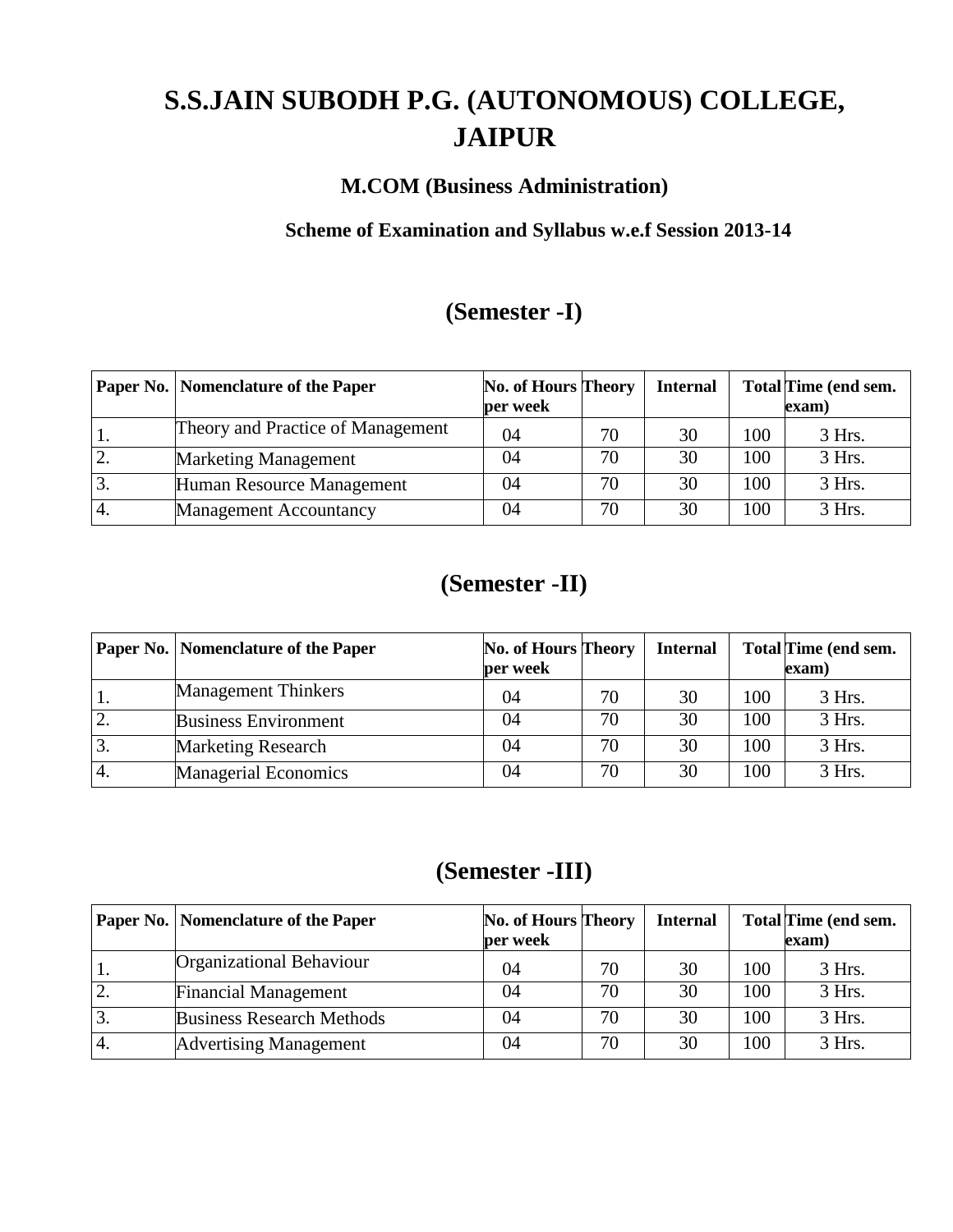## **S.S.JAIN SUBODH P.G. (AUTONOMOUS) COLLEGE, JAIPUR**

## **M.COM (Business Administration)**

## **Scheme of Examination and Syllabus w.e.f Session 2013-14**

## **(Semester -I)**

|                  | <b>Paper No.   Nomenclature of the Paper</b> | No. of Hours Theory<br>per week |    | <b>Internal</b> |     | Total Time (end sem.<br>exam) |
|------------------|----------------------------------------------|---------------------------------|----|-----------------|-----|-------------------------------|
|                  | Theory and Practice of Management            | 04                              | 70 | 30              | 100 | 3 Hrs.                        |
| <u>L</u> .       | <b>Marketing Management</b>                  | 04                              | 70 | 30              | 100 | 3 Hrs.                        |
| 3.               | Human Resource Management                    | 04                              | 70 | 30              | 100 | 3 Hrs.                        |
| $\overline{4}$ . | <b>Management Accountancy</b>                | 04                              | 70 | 30              | 100 | 3 Hrs.                        |

## **(Semester -II)**

|    | <b>Paper No.</b> Nomenclature of the Paper | <b>No. of Hours Theory</b><br>per week |    | <b>Internal</b> |     | Total Time (end sem.<br>exam) |
|----|--------------------------------------------|----------------------------------------|----|-----------------|-----|-------------------------------|
| 1. | <b>Management Thinkers</b>                 | 04                                     | 70 | 30              | 100 | 3 Hrs.                        |
| 2. | <b>Business Environment</b>                | 04                                     | 70 | 30              | 100 | 3 Hrs.                        |
| 3. | <b>Marketing Research</b>                  | 04                                     | 70 | 30              | 100 | 3 Hrs.                        |
| 4. | <b>Managerial Economics</b>                | 04                                     | 70 | 30              | 100 | 3 Hrs.                        |

## **(Semester -III)**

|                | <b>Paper No.</b> Nomenclature of the Paper | No. of Hours Theory<br>per week |    | <b>Internal</b> |     | Total Time (end sem.<br>exam) |
|----------------|--------------------------------------------|---------------------------------|----|-----------------|-----|-------------------------------|
|                | Organizational Behaviour                   | 04                              | 70 | 30              | 100 | 3 Hrs.                        |
| <u>L</u> .     | <b>Financial Management</b>                | 04                              | 70 | 30              | 100 | 3 Hrs.                        |
|                | <b>Business Research Methods</b>           | 04                              | 70 | 30              | 100 | 3 Hrs.                        |
| <sup>4</sup> . | <b>Advertising Management</b>              | 04                              | 70 | 30              | 100 | 3 Hrs.                        |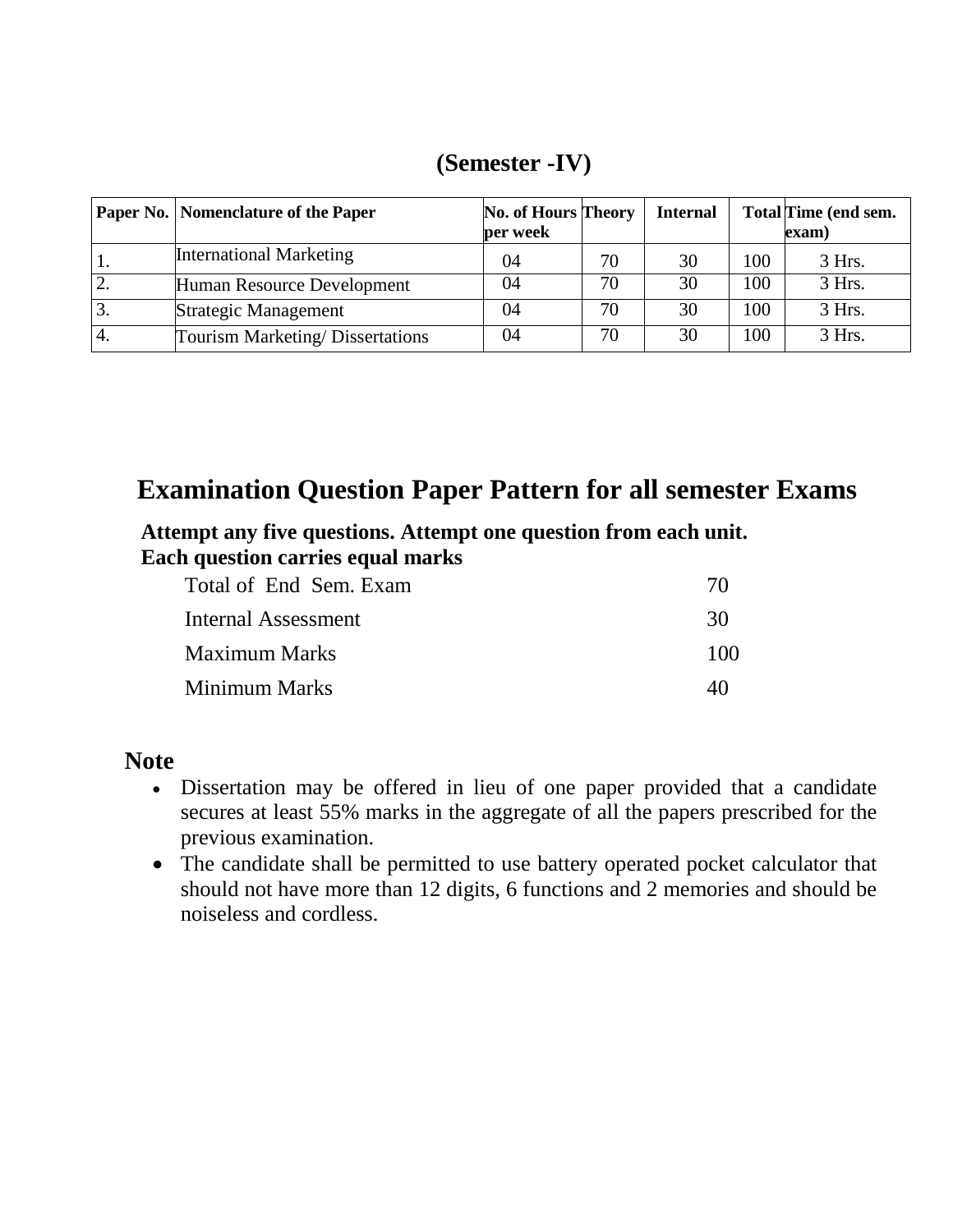| (Semester -IV) |  |
|----------------|--|
|----------------|--|

|    | <b>Paper No.   Nomenclature of the Paper</b> | No. of Hours Theory<br>per week |    | <b>Internal</b> |     | Total Time (end sem.<br>exam) |
|----|----------------------------------------------|---------------------------------|----|-----------------|-----|-------------------------------|
|    | <b>International Marketing</b>               | 04                              | 70 | 30              | 100 | 3 Hrs.                        |
| ٠. | Human Resource Development                   | 04                              | 70 | 30              | 100 | 3 Hrs.                        |
| 3. | <b>Strategic Management</b>                  | 04                              | 70 | 30              | 100 | 3 Hrs.                        |
| 4. | Tourism Marketing/Dissertations              | 04                              | 70 | 30              | 100 | 3 Hrs.                        |

## **Examination Question Paper Pattern for all semester Exams**

**Attempt any five questions. Attempt one question from each unit. Each question carries equal marks**

| Total of End Sem. Exam |                    |
|------------------------|--------------------|
| Internal Assessment    | 30                 |
| <b>Maximum Marks</b>   | 1 <sub>(</sub> )() |
| Minimum Marks          | 40                 |

## **Note**

- Dissertation may be offered in lieu of one paper provided that a candidate secures at least 55% marks in the aggregate of all the papers prescribed for the previous examination.
- The candidate shall be permitted to use battery operated pocket calculator that should not have more than 12 digits, 6 functions and 2 memories and should be noiseless and cordless.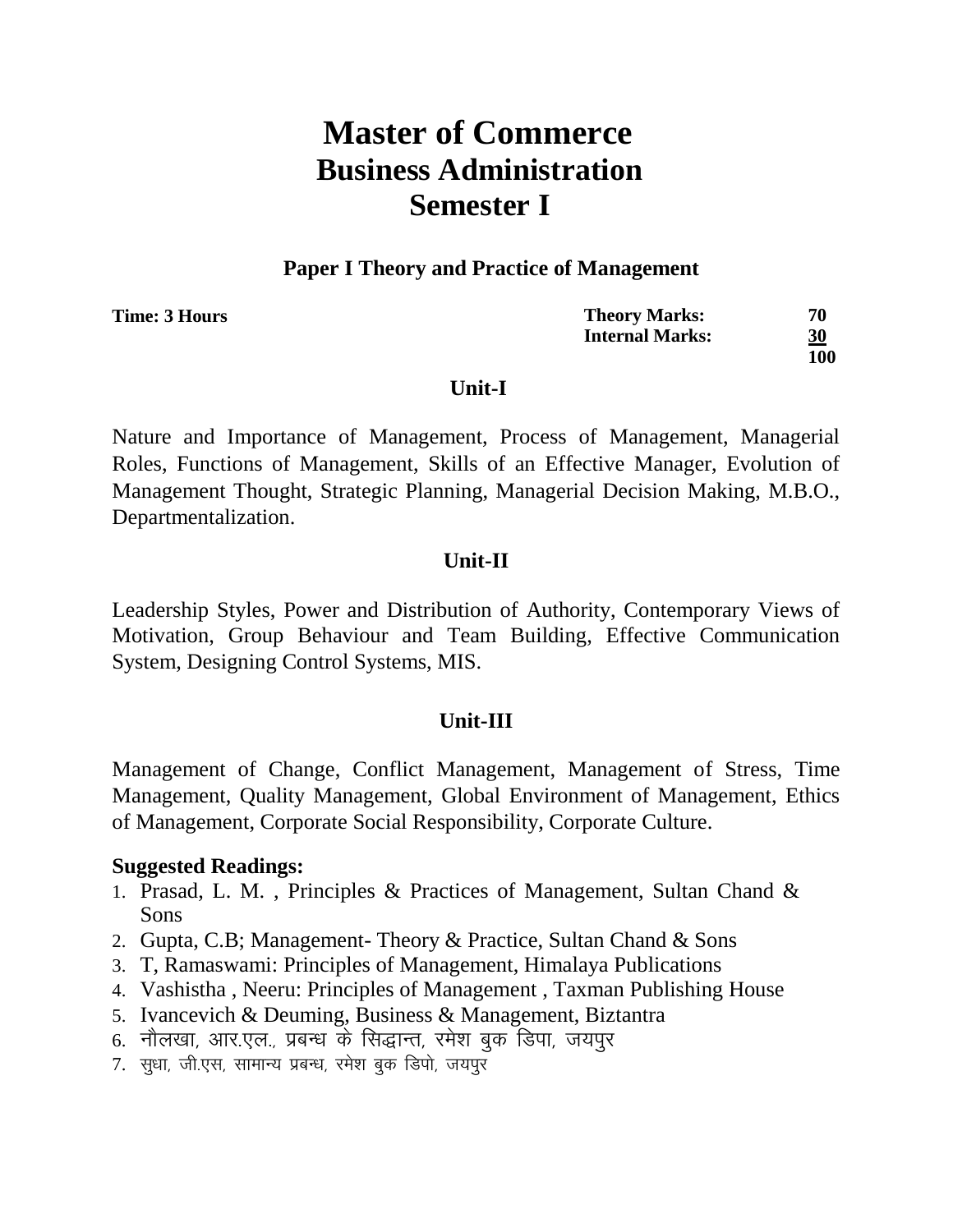**Paper I Theory and Practice of Management**

| Time: 3 Hours | <b>Theory Marks:</b>   |  |
|---------------|------------------------|--|
|               | <b>Internal Marks:</b> |  |

**100**

## **Unit-I**

Nature and Importance of Management, Process of Management, Managerial Roles, Functions of Management, Skills of an Effective Manager, Evolution of Management Thought, Strategic Planning, Managerial Decision Making, M.B.O., Departmentalization.

## **Unit-II**

Leadership Styles, Power and Distribution of Authority, Contemporary Views of Motivation, Group Behaviour and Team Building, Effective Communication System, Designing Control Systems, MIS.

## **Unit-III**

Management of Change, Conflict Management, Management of Stress, Time Management, Quality Management, Global Environment of Management, Ethics of Management, Corporate Social Responsibility, Corporate Culture.

- 1. Prasad, L. M. , Principles & Practices of Management, Sultan Chand & Sons
- 2. Gupta, C.B; Management- Theory & Practice, Sultan Chand & Sons
- 3. T, Ramaswami: Principles of Management, Himalaya Publications
- 4. Vashistha , Neeru: Principles of Management , Taxman Publishing House
- 5. Ivancevich & Deuming, Business & Management, Biztantra
- 6. नौलखा, आर.एल., प्रबन्ध के सिद्धान्त, रमेश बुक डिपा, जयपूर
- 7. सुधा, जी.एस, सामान्य प्रबन्ध, रमेश बुक डिपो, जयपुर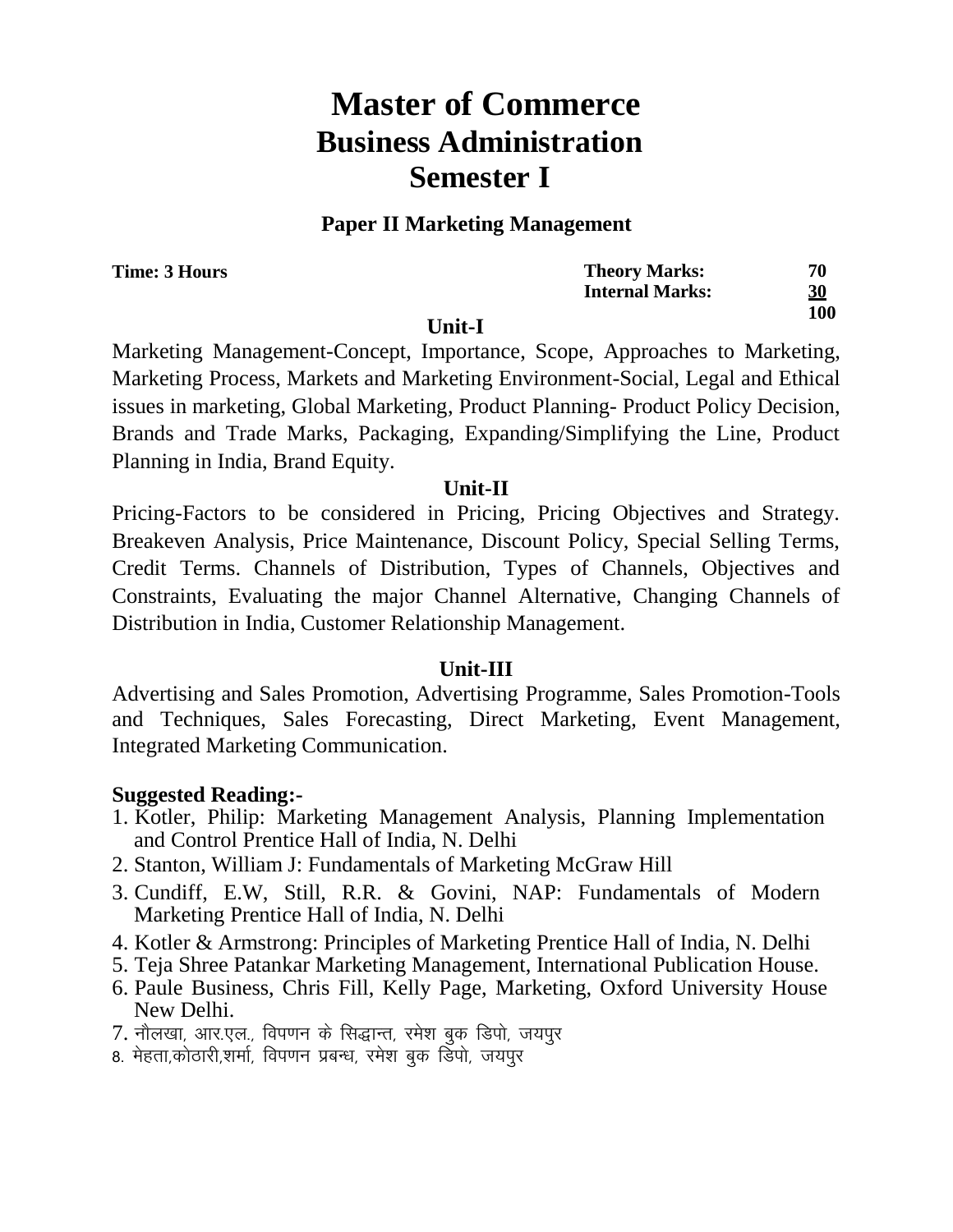## **Paper II Marketing Management**

| Time: 3 Hours |                | <b>Theory Marks:</b>   | 70        |
|---------------|----------------|------------------------|-----------|
|               |                | <b>Internal Marks:</b> | <u>30</u> |
|               | <b>TT 0. T</b> |                        | 100       |

 **Unit-I**

Marketing Management-Concept, Importance, Scope, Approaches to Marketing, Marketing Process, Markets and Marketing Environment-Social, Legal and Ethical issues in marketing, Global Marketing, Product Planning- Product Policy Decision, Brands and Trade Marks, Packaging, Expanding/Simplifying the Line, Product Planning in India, Brand Equity.

## **Unit-II**

Pricing-Factors to be considered in Pricing, Pricing Objectives and Strategy. Breakeven Analysis, Price Maintenance, Discount Policy, Special Selling Terms, Credit Terms. Channels of Distribution, Types of Channels, Objectives and Constraints, Evaluating the major Channel Alternative, Changing Channels of Distribution in India, Customer Relationship Management.

## **Unit-III**

Advertising and Sales Promotion, Advertising Programme, Sales Promotion-Tools and Techniques, Sales Forecasting, Direct Marketing, Event Management, Integrated Marketing Communication.

- 1. Kotler, Philip: Marketing Management Analysis, Planning Implementation and Control Prentice Hall of India, N. Delhi
- 2. Stanton, William J: Fundamentals of Marketing McGraw Hill
- 3. Cundiff, E.W, Still, R.R. & Govini, NAP: Fundamentals of Modern Marketing Prentice Hall of India, N. Delhi
- 4. Kotler & Armstrong: Principles of Marketing Prentice Hall of India, N. Delhi
- 5. Teja Shree Patankar Marketing Management, International Publication House.
- 6. Paule Business, Chris Fill, Kelly Page, Marketing, Oxford University House New Delhi.
- 7. नौलखा, आर.एल., विपणन के सिद्धान्त, रमेश बुक डिपो, जयपुर
- 8. मेहता,कोठारी,शर्मा, विपणन प्रबन्ध, रमेश बुक डिपो, जयपुर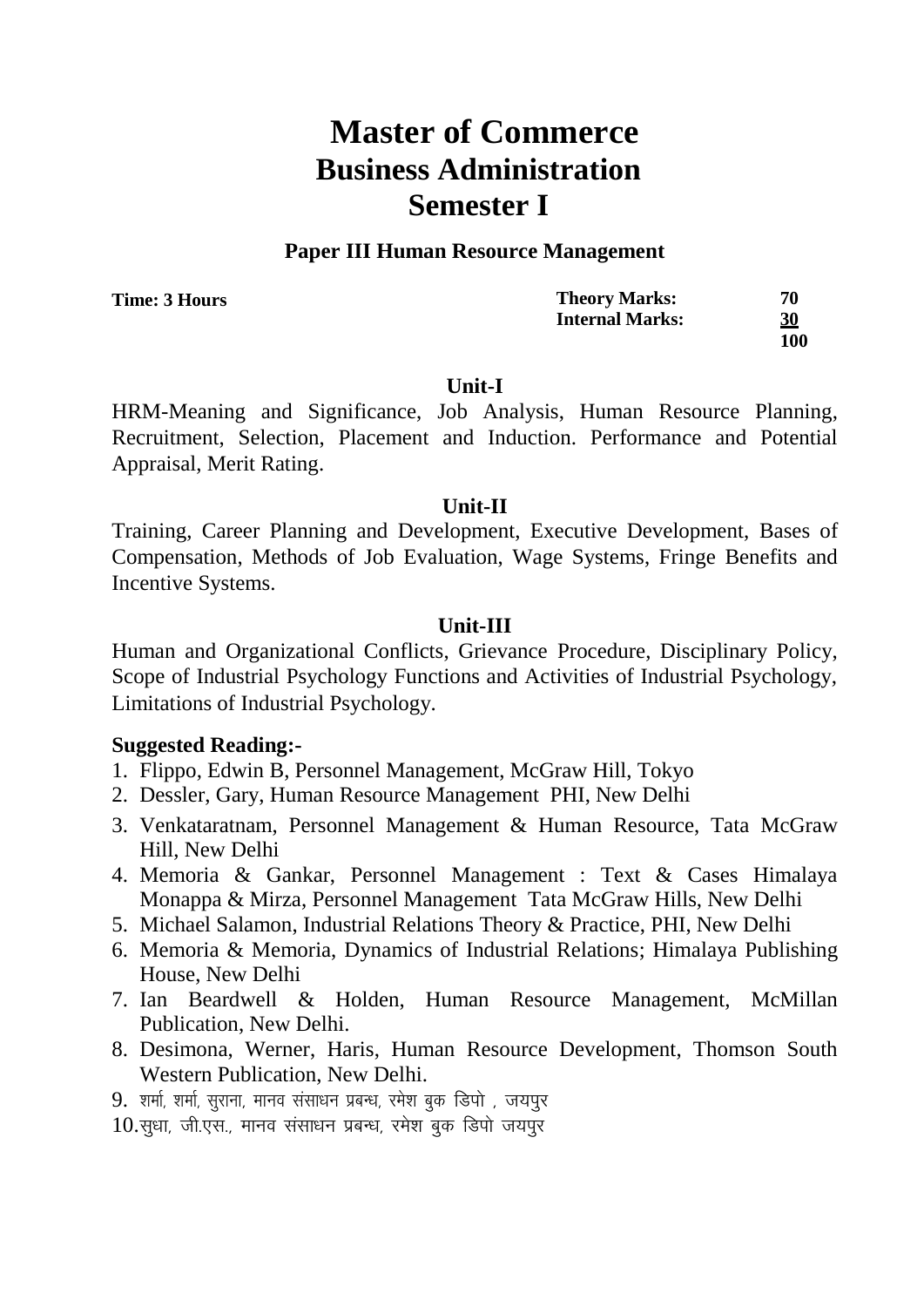#### **Paper III Human Resource Management**

**Time: 3 Hours** 

| <b>Theory Marks:</b>   | 70  |
|------------------------|-----|
| <b>Internal Marks:</b> | 30  |
|                        | 100 |

#### **Unit-I**

HRM-Meaning and Significance, Job Analysis, Human Resource Planning, Recruitment, Selection, Placement and Induction. Performance and Potential Appraisal, Merit Rating.

#### **Unit-II**

Training, Career Planning and Development, Executive Development, Bases of Compensation, Methods of Job Evaluation, Wage Systems, Fringe Benefits and Incentive Systems.

## **Unit-III**

Human and Organizational Conflicts, Grievance Procedure, Disciplinary Policy, Scope of Industrial Psychology Functions and Activities of Industrial Psychology, Limitations of Industrial Psychology.

- 1. Flippo, Edwin B, Personnel Management, McGraw Hill, Tokyo
- 2. Dessler, Gary, Human Resource Management PHI, New Delhi
- 3. Venkataratnam, Personnel Management & Human Resource, Tata McGraw Hill, New Delhi
- 4. Memoria & Gankar, Personnel Management : Text & Cases Himalaya Monappa & Mirza, Personnel Management Tata McGraw Hills, New Delhi
- 5. Michael Salamon, Industrial Relations Theory & Practice, PHI, New Delhi
- 6. Memoria & Memoria, Dynamics of Industrial Relations; Himalaya Publishing House, New Delhi
- 7. Ian Beardwell & Holden, Human Resource Management, McMillan Publication, New Delhi.
- 8. Desimona, Werner, Haris, Human Resource Development, Thomson South Western Publication, New Delhi.
- $9.$  शर्मा, शर्मा, सुराना, मानव संसाधन प्रबन्ध, रमेश बक डिपो , जयपुर
- $10.\,$ सूधा, जी.एस., मानव संसाधन प्रबन्ध, रमेश बुक डिपो जयपूर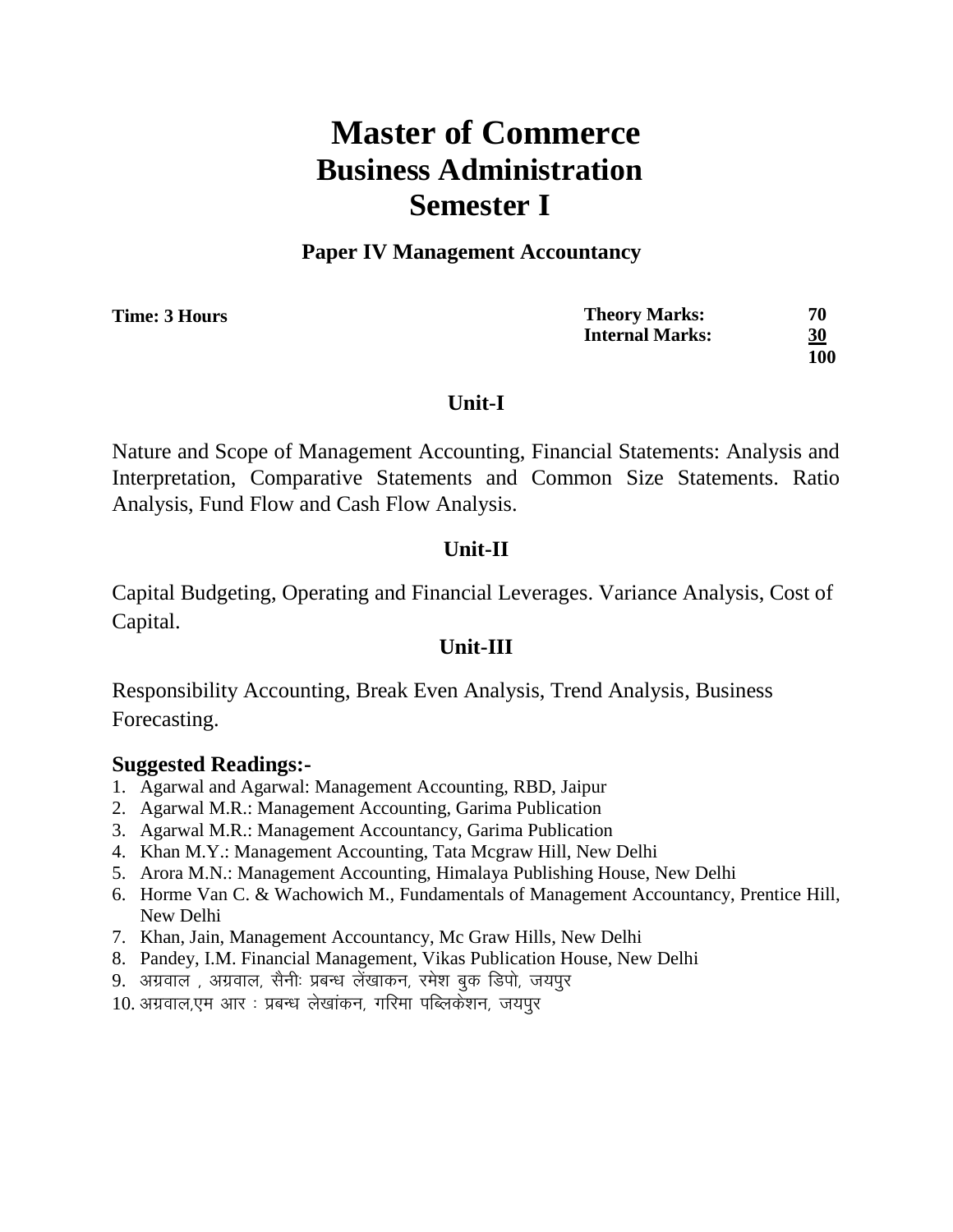## **Paper IV Management Accountancy**

| Time: 3 Hours | <b>Theory Marks:</b>   | 70        |
|---------------|------------------------|-----------|
|               | <b>Internal Marks:</b> | <u>30</u> |
|               |                        | 100       |

## **Unit-I**

Nature and Scope of Management Accounting, Financial Statements: Analysis and Interpretation, Comparative Statements and Common Size Statements. Ratio Analysis, Fund Flow and Cash Flow Analysis.

## **Unit-II**

Capital Budgeting, Operating and Financial Leverages. Variance Analysis, Cost of Capital.

## **Unit-III**

Responsibility Accounting, Break Even Analysis, Trend Analysis, Business Forecasting.

- 1. Agarwal and Agarwal: Management Accounting, RBD, Jaipur
- 2. Agarwal M.R.: Management Accounting, Garima Publication
- 3. Agarwal M.R.: Management Accountancy, Garima Publication
- 4. Khan M.Y.: Management Accounting, Tata Mcgraw Hill, New Delhi
- 5. Arora M.N.: Management Accounting, Himalaya Publishing House, New Delhi
- 6. Horme Van C. & Wachowich M., Fundamentals of Management Accountancy, Prentice Hill, New Delhi
- 7. Khan, Jain, Management Accountancy, Mc Graw Hills, New Delhi
- 8. Pandey, I.M. Financial Management, Vikas Publication House, New Delhi
- 9. अग्रवाल , अग्रवाल, सैनीः प्रबन्ध लेंखाकन, रमेश बुक डिपो, जयपुर
- $10.$  अग्रवाल,एम आर: प्रबन्ध लेखांकन, गरिमा पब्लिकेशन, जयपुर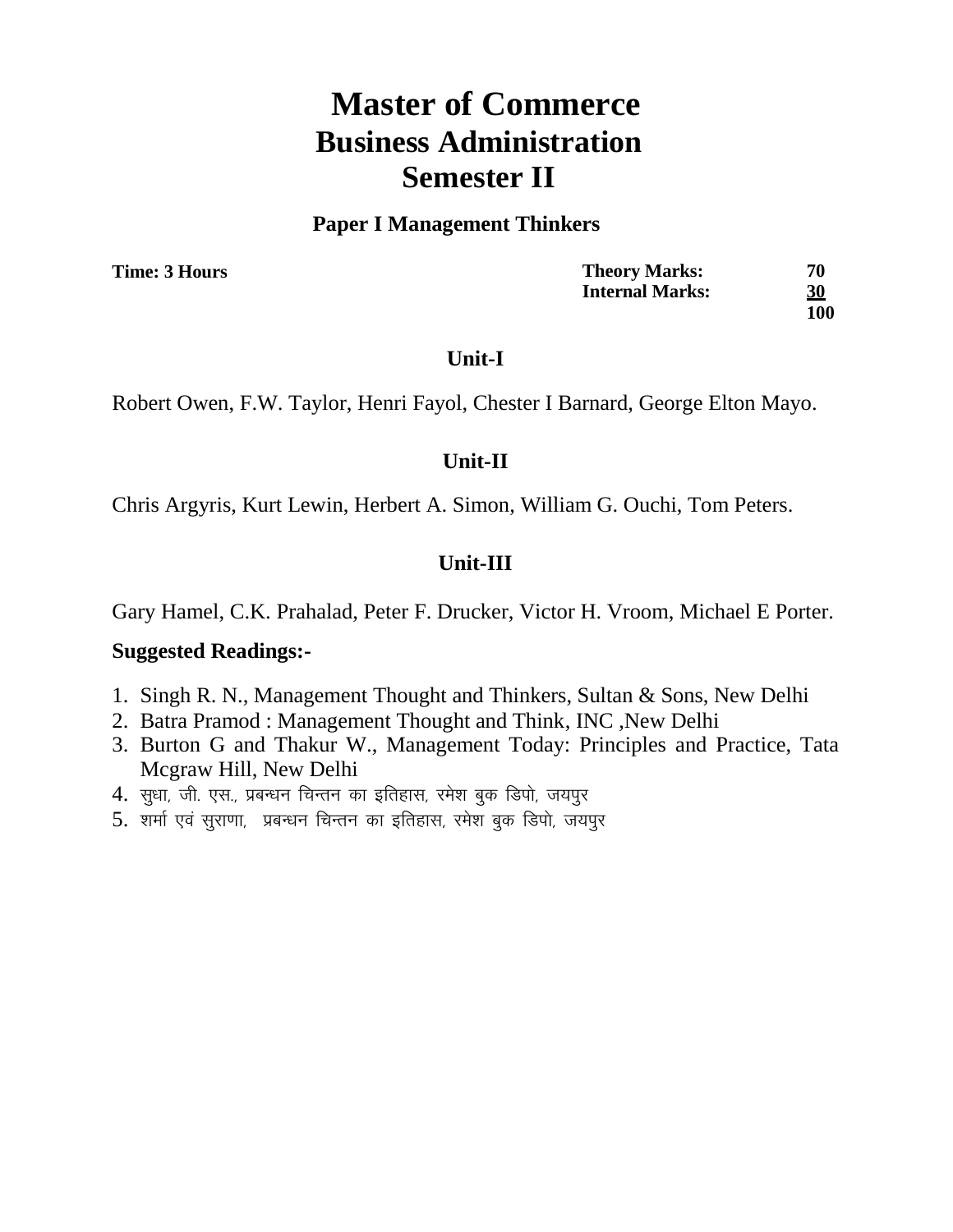## **Paper I Management Thinkers**

**Time: 3 Hours** 

| <b>Theory Marks:</b>   | 70  |
|------------------------|-----|
| <b>Internal Marks:</b> | 30  |
|                        | 100 |

## **Unit-I**

Robert Owen, F.W. Taylor, Henri Fayol, Chester I Barnard, George Elton Mayo.

## **Unit-II**

Chris Argyris, Kurt Lewin, Herbert A. Simon, William G. Ouchi, Tom Peters.

## **Unit-III**

Gary Hamel, C.K. Prahalad, Peter F. Drucker, Victor H. Vroom, Michael E Porter.

- 1. Singh R. N., Management Thought and Thinkers, Sultan & Sons, New Delhi
- 2. Batra Pramod : Management Thought and Think, INC ,New Delhi
- 3. Burton G and Thakur W., Management Today: Principles and Practice, Tata Mcgraw Hill, New Delhi
- 4. सुधा, जी. एस., प्रबन्धन चिन्तन का इतिहास, रमेश बुक डिपो, जयपुर
- 5. शर्मा एवं सुराणा, प्रबन्धन चिन्तन का इतिहास, रमेश बुक डिपो, जयपूर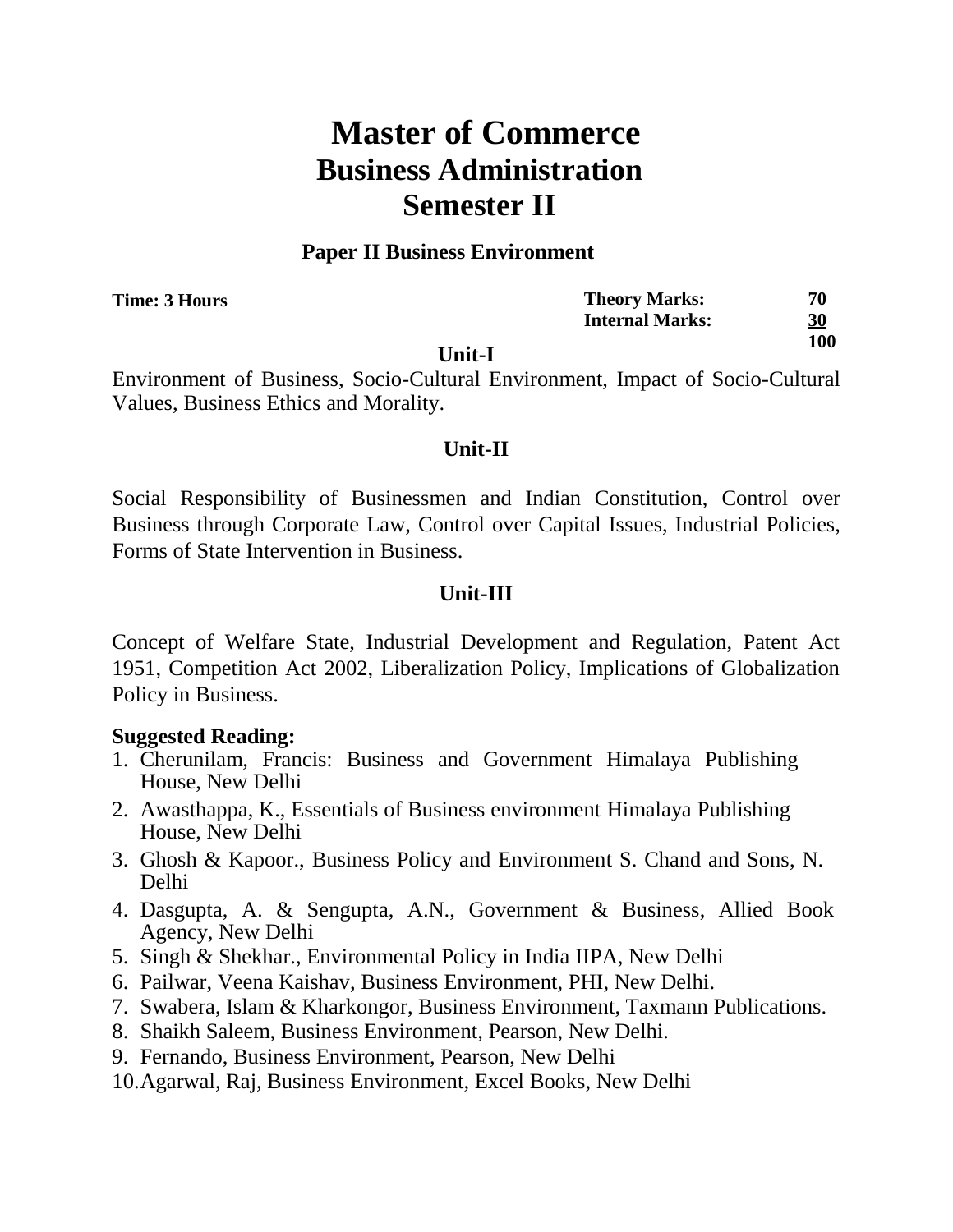#### **Paper II Business Environment**

**Time: 3 Hours Theory Marks: 70 Internal Marks: 30 100**

 **Unit-I**

Environment of Business, Socio-Cultural Environment, Impact of Socio-Cultural Values, Business Ethics and Morality.

## **Unit-II**

Social Responsibility of Businessmen and Indian Constitution, Control over Business through Corporate Law, Control over Capital Issues, Industrial Policies, Forms of State Intervention in Business.

## **Unit-III**

Concept of Welfare State, Industrial Development and Regulation, Patent Act 1951, Competition Act 2002, Liberalization Policy, Implications of Globalization Policy in Business.

- 1. Cherunilam, Francis: Business and Government Himalaya Publishing House, New Delhi
- 2. Awasthappa, K., Essentials of Business environment Himalaya Publishing House, New Delhi
- 3. Ghosh & Kapoor., Business Policy and Environment S. Chand and Sons, N. Delhi
- 4. Dasgupta, A. & Sengupta, A.N., Government & Business, Allied Book Agency, New Delhi
- 5. Singh & Shekhar., Environmental Policy in India IIPA, New Delhi
- 6. Pailwar, Veena Kaishav, Business Environment, PHI, New Delhi.
- 7. Swabera, Islam & Kharkongor, Business Environment, Taxmann Publications.
- 8. Shaikh Saleem, Business Environment, Pearson, New Delhi.
- 9. Fernando, Business Environment, Pearson, New Delhi
- 10.Agarwal, Raj, Business Environment, Excel Books, New Delhi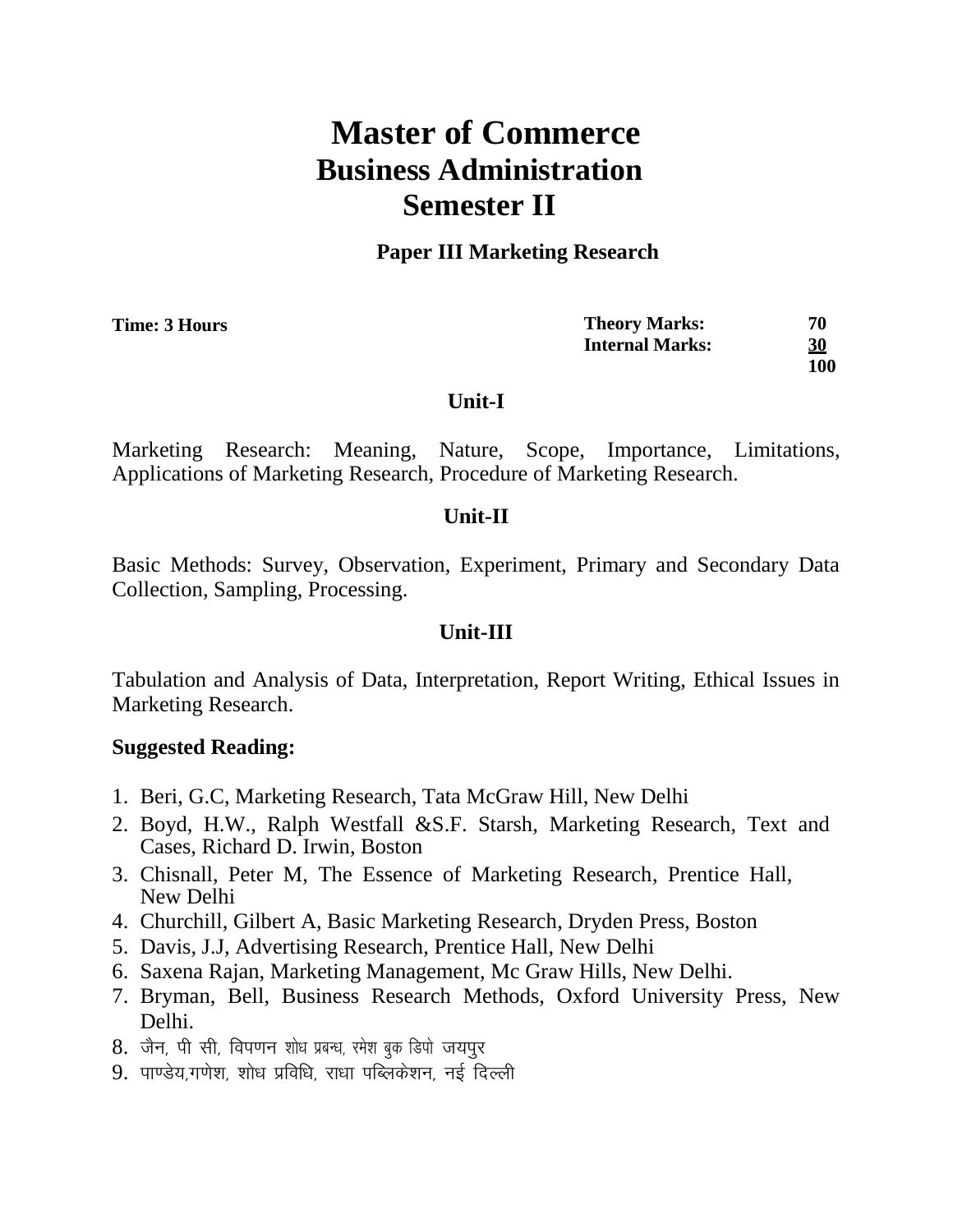## **Paper III Marketing Research**

**Time: 3 Hours** 

**Theory Marks: 70 Internal Marks: 30 100**

## **Unit-I**

Marketing Research: Meaning, Nature, Scope, Importance, Limitations, Applications of Marketing Research, Procedure of Marketing Research.

## **Unit-II**

Basic Methods: Survey, Observation, Experiment, Primary and Secondary Data Collection, Sampling, Processing.

## **Unit-III**

Tabulation and Analysis of Data, Interpretation, Report Writing, Ethical Issues in Marketing Research.

- 1. Beri, G.C, Marketing Research, Tata McGraw Hill, New Delhi
- 2. Boyd, H.W., Ralph Westfall &S.F. Starsh, Marketing Research, Text and Cases, Richard D. Irwin, Boston
- 3. Chisnall, Peter M, The Essence of Marketing Research, Prentice Hall, New Delhi
- 4. Churchill, Gilbert A, Basic Marketing Research, Dryden Press, Boston
- 5. Davis, J.J, Advertising Research, Prentice Hall, New Delhi
- 6. Saxena Rajan, Marketing Management, Mc Graw Hills, New Delhi.
- 7. Bryman, Bell, Business Research Methods, Oxford University Press, New Delhi.
- 8. जैन, पी सी, विपणन शोध प्रबन्ध, रमेश बक डिपो जयपुर
- 9. पाण्डेय.गणेश. शोध प्रविधि. राधा पब्लिकेशन. नई दिल्ली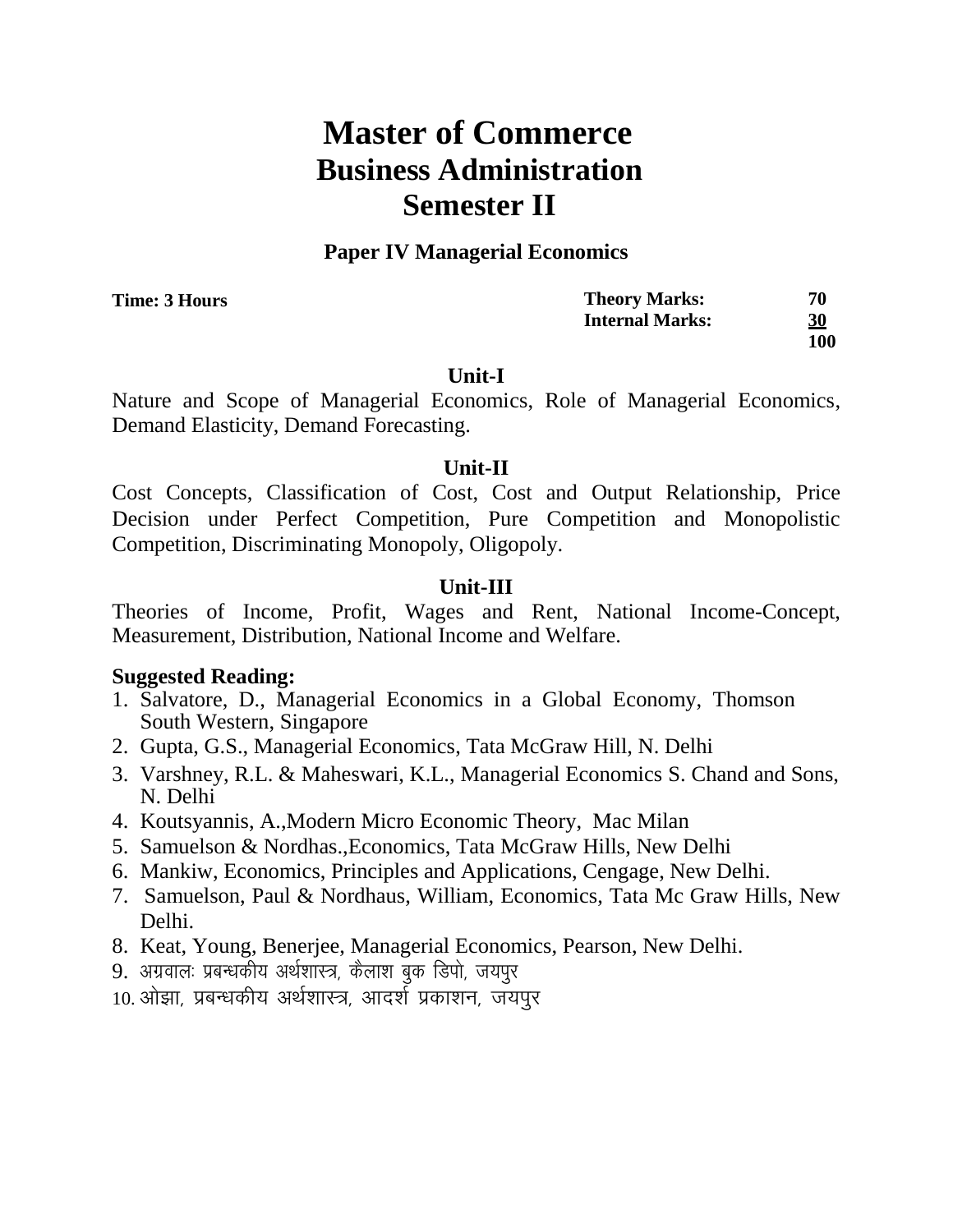#### **Paper IV Managerial Economics**

**Time: 3 Hours** 

| <b>Theory Marks:</b>   | 70         |
|------------------------|------------|
| <b>Internal Marks:</b> | <u>30</u>  |
|                        | <b>100</b> |

#### **Unit-I**

Nature and Scope of Managerial Economics, Role of Managerial Economics, Demand Elasticity, Demand Forecasting.

#### **Unit-II**

Cost Concepts, Classification of Cost, Cost and Output Relationship, Price Decision under Perfect Competition, Pure Competition and Monopolistic Competition, Discriminating Monopoly, Oligopoly.

## **Unit-III**

Theories of Income, Profit, Wages and Rent, National Income-Concept, Measurement, Distribution, National Income and Welfare.

- 1. Salvatore, D., Managerial Economics in a Global Economy, Thomson South Western, Singapore
- 2. Gupta, G.S., Managerial Economics, Tata McGraw Hill, N. Delhi
- 3. Varshney, R.L. & Maheswari, K.L., Managerial Economics S. Chand and Sons, N. Delhi
- 4. Koutsyannis, A.,Modern Micro Economic Theory, Mac Milan
- 5. Samuelson & Nordhas.,Economics, Tata McGraw Hills, New Delhi
- 6. Mankiw, Economics, Principles and Applications, Cengage, New Delhi.
- 7. Samuelson, Paul & Nordhaus, William, Economics, Tata Mc Graw Hills, New Delhi.
- 8. Keat, Young, Benerjee, Managerial Economics, Pearson, New Delhi.
- 9. अग्रवालः प्रबन्धकीय अर्थशास्त्र, कैलाश बुक डिपो, जयपुर
- 10. ओझा, प्रबन्धकीय अर्थशास्त्र, आदर्श प्रकाशन, जयपुर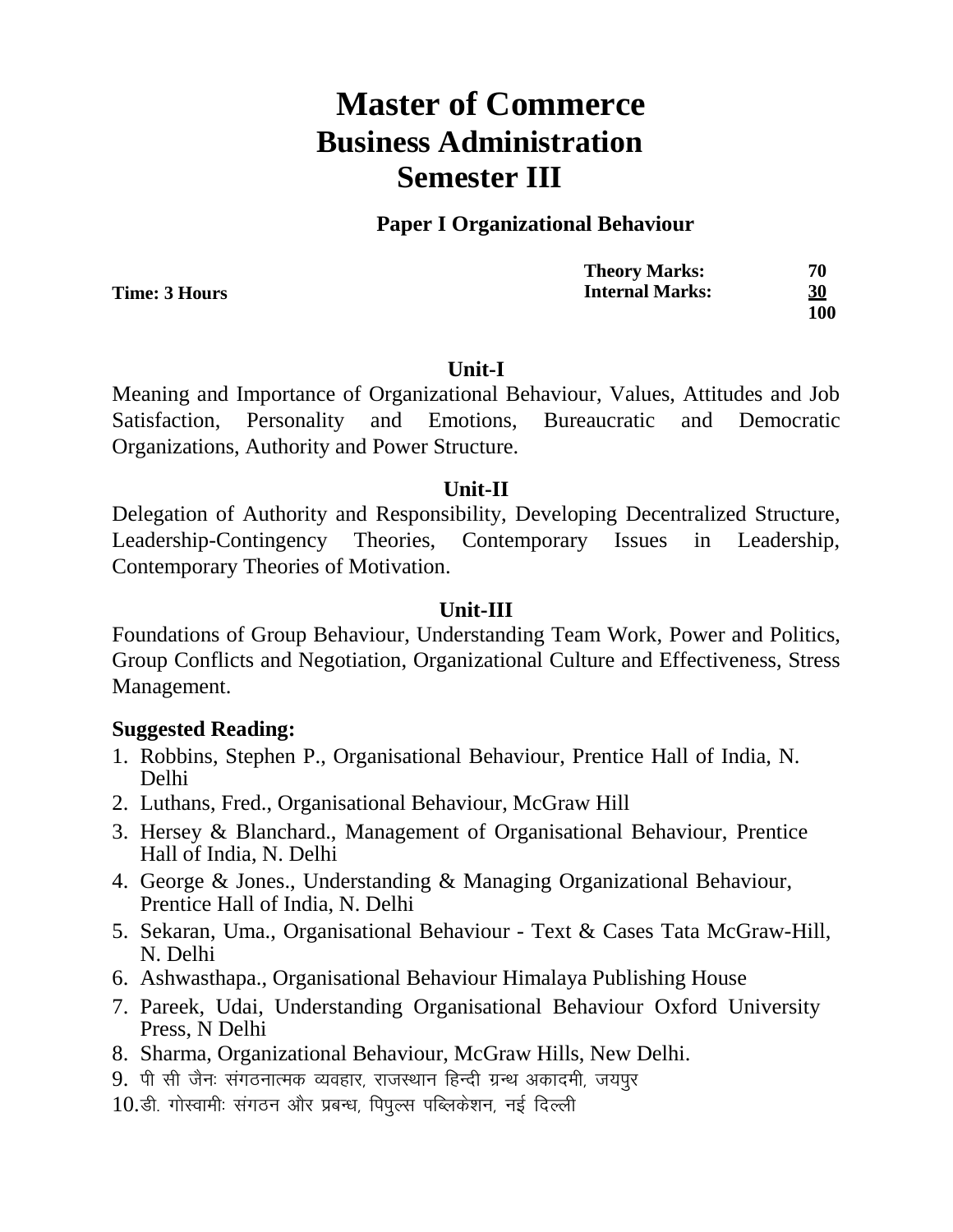## **Paper I Organizational Behaviour**

| <b>Theory Marks:</b>   | 70  |
|------------------------|-----|
| <b>Internal Marks:</b> | 30  |
|                        | 100 |

#### **Unit-I**

Meaning and Importance of Organizational Behaviour, Values, Attitudes and Job Satisfaction, Personality and Emotions, Bureaucratic and Democratic Organizations, Authority and Power Structure.

#### **Unit-II**

Delegation of Authority and Responsibility, Developing Decentralized Structure, Leadership-Contingency Theories, Contemporary Issues in Leadership, Contemporary Theories of Motivation.

#### **Unit-III**

Foundations of Group Behaviour, Understanding Team Work, Power and Politics, Group Conflicts and Negotiation, Organizational Culture and Effectiveness, Stress Management.

## **Suggested Reading:**

- 1. Robbins, Stephen P., Organisational Behaviour, Prentice Hall of India, N. Delhi
- 2. Luthans, Fred., Organisational Behaviour, McGraw Hill
- 3. Hersey & Blanchard., Management of Organisational Behaviour, Prentice Hall of India, N. Delhi
- 4. George & Jones., Understanding & Managing Organizational Behaviour, Prentice Hall of India, N. Delhi
- 5. Sekaran, Uma., Organisational Behaviour Text & Cases Tata McGraw-Hill, N. Delhi
- 6. Ashwasthapa., Organisational Behaviour Himalaya Publishing House
- 7. Pareek, Udai, Understanding Organisational Behaviour Oxford University Press, N Delhi
- 8. Sharma, Organizational Behaviour, McGraw Hills, New Delhi.
- 9. पी सी जैन: संगठनात्मक व्यवहार, राजस्थान हिन्दी ग्रन्थ अकादमी, जयपर
- $10.\,$ डी. गोस्वामी: संगठन और प्रबन्ध, पिपुल्स पब्लिकेशन, नई दिल्ली

**Time: 3 Hours**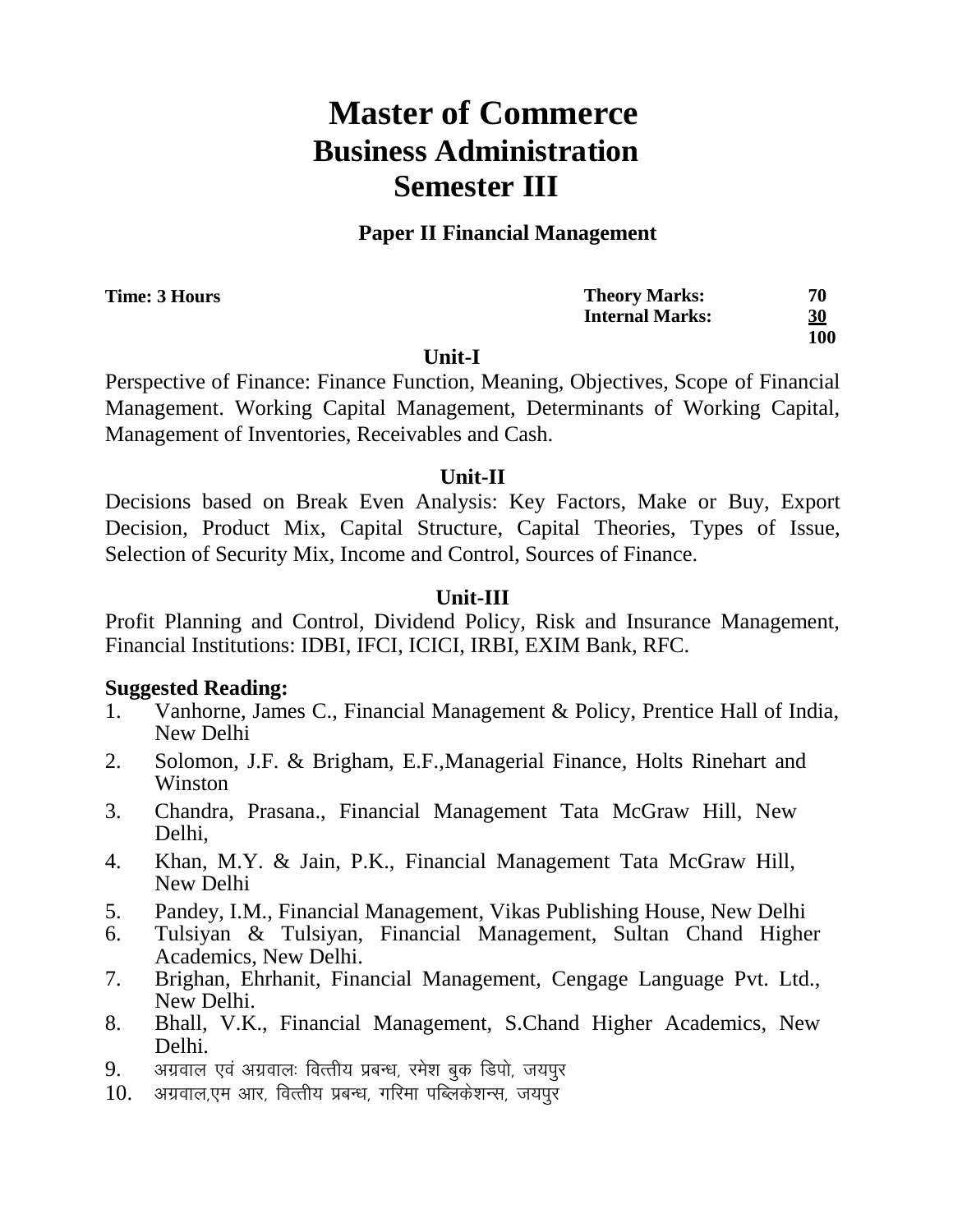## **Paper II Financial Management**

**Time: 3 Hours** 

| <b>Theory Marks:</b>   | 70         |
|------------------------|------------|
| <b>Internal Marks:</b> | 30         |
|                        | <b>100</b> |

#### **Unit-I**

Perspective of Finance: Finance Function, Meaning, Objectives, Scope of Financial Management. Working Capital Management, Determinants of Working Capital, Management of Inventories, Receivables and Cash.

## **Unit-II**

Decisions based on Break Even Analysis: Key Factors, Make or Buy, Export Decision, Product Mix, Capital Structure, Capital Theories, Types of Issue, Selection of Security Mix, Income and Control, Sources of Finance.

## **Unit-III**

Profit Planning and Control, Dividend Policy, Risk and Insurance Management, Financial Institutions: IDBI, IFCI, ICICI, IRBI, EXIM Bank, RFC.

- 1. Vanhorne, James C., Financial Management & Policy, Prentice Hall of India, New Delhi
- 2. Solomon, J.F. & Brigham, E.F.,Managerial Finance, Holts Rinehart and Winston
- 3. Chandra, Prasana., Financial Management Tata McGraw Hill, New Delhi,
- 4. Khan, M.Y. & Jain, P.K., Financial Management Tata McGraw Hill, New Delhi
- 5. Pandey, I.M., Financial Management, Vikas Publishing House, New Delhi
- 6. Tulsiyan & Tulsiyan, Financial Management, Sultan Chand Higher Academics, New Delhi.
- 7. Brighan, Ehrhanit, Financial Management, Cengage Language Pvt. Ltd., New Delhi.
- 8. Bhall, V.K., Financial Management, S.Chand Higher Academics, New Delhi.
- 9. अग्रवाल एवं अग्रवालः वित्तीय प्रबन्ध, रमेश बक डिपो, जयपुर
- $10.$  अग्रवाल,एम आर, वित्तीय प्रबन्ध, गरिमा पब्लिकेशन्स, जयपुर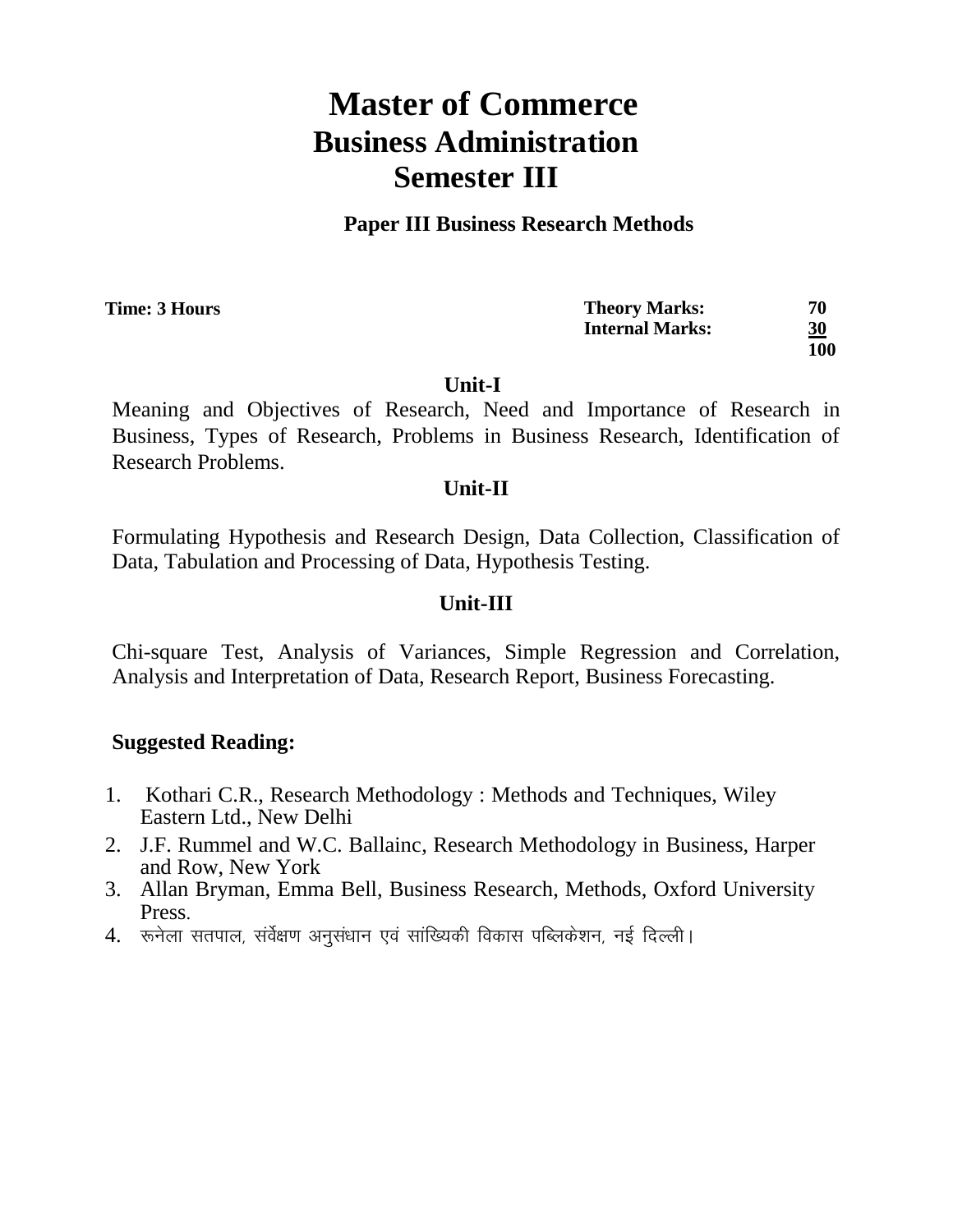## **Paper III Business Research Methods**

| Time: 3 Hours | <b>Theory Marks:</b>   | 70   |
|---------------|------------------------|------|
|               | <b>Internal Marks:</b> | 30   |
|               |                        | 1 ሰሰ |

**100**

#### **Unit-I**

Meaning and Objectives of Research, Need and Importance of Research in Business, Types of Research, Problems in Business Research, Identification of Research Problems.

## **Unit-II**

Formulating Hypothesis and Research Design, Data Collection, Classification of Data, Tabulation and Processing of Data, Hypothesis Testing.

## **Unit-III**

Chi-square Test, Analysis of Variances, Simple Regression and Correlation, Analysis and Interpretation of Data, Research Report, Business Forecasting.

- 1. Kothari C.R., Research Methodology : Methods and Techniques, Wiley Eastern Ltd., New Delhi
- 2. J.F. Rummel and W.C. Ballainc, Research Methodology in Business, Harper and Row, New York
- 3. Allan Bryman, Emma Bell, Business Research, Methods, Oxford University Press.
- $4.$  रूनेला सतपाल, संर्वेक्षण अनुसंधान एवं सांख्यिकी विकास पब्लिकेशन, नई दिल्ली ।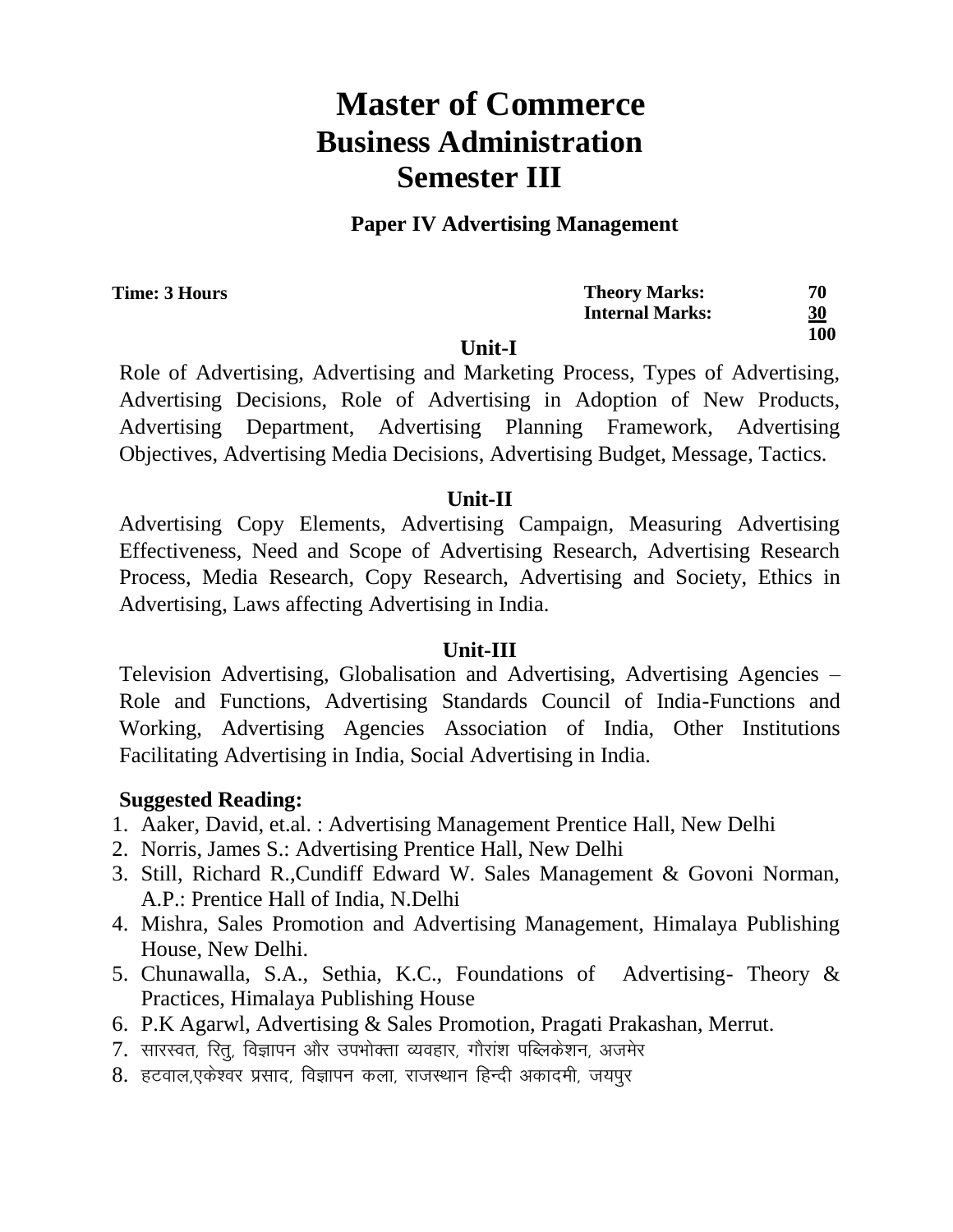## **Paper IV Advertising Management**

| <b>Theory Marks:</b>   | 70        |
|------------------------|-----------|
| <b>Internal Marks:</b> | <u>30</u> |
|                        | 1 Л       |

#### **Unit-I**

Role of Advertising, Advertising and Marketing Process, Types of Advertising, Advertising Decisions, Role of Advertising in Adoption of New Products, Advertising Department, Advertising Planning Framework, Advertising Objectives, Advertising Media Decisions, Advertising Budget, Message, Tactics.

#### **Unit-II**

Advertising Copy Elements, Advertising Campaign, Measuring Advertising Effectiveness, Need and Scope of Advertising Research, Advertising Research Process, Media Research, Copy Research, Advertising and Society, Ethics in Advertising, Laws affecting Advertising in India.

#### **Unit-III**

Television Advertising, Globalisation and Advertising, Advertising Agencies – Role and Functions, Advertising Standards Council of India-Functions and Working, Advertising Agencies Association of India, Other Institutions Facilitating Advertising in India, Social Advertising in India.

## **Suggested Reading:**

- 1. Aaker, David, et.al. : Advertising Management Prentice Hall, New Delhi
- 2. Norris, James S.: Advertising Prentice Hall, New Delhi
- 3. Still, Richard R.,Cundiff Edward W. Sales Management & Govoni Norman, A.P.: Prentice Hall of India, N.Delhi
- 4. Mishra, Sales Promotion and Advertising Management, Himalaya Publishing House, New Delhi.
- 5. Chunawalla, S.A., Sethia, K.C., Foundations of Advertising- Theory & Practices, Himalaya Publishing House
- 6. P.K Agarwl, Advertising & Sales Promotion, Pragati Prakashan, Merrut.
- 7. सारस्वत, रित्, विज्ञापन और उपभोक्ता व्यवहार, गौरांश पब्लिकेशन, अजमेर
- 8. हटवाल,एकेश्वर प्रसाद, विज्ञापन कला, राजस्थान हिन्दी अकादमी, जयपुर

**Time: 3 Hours** 

**100**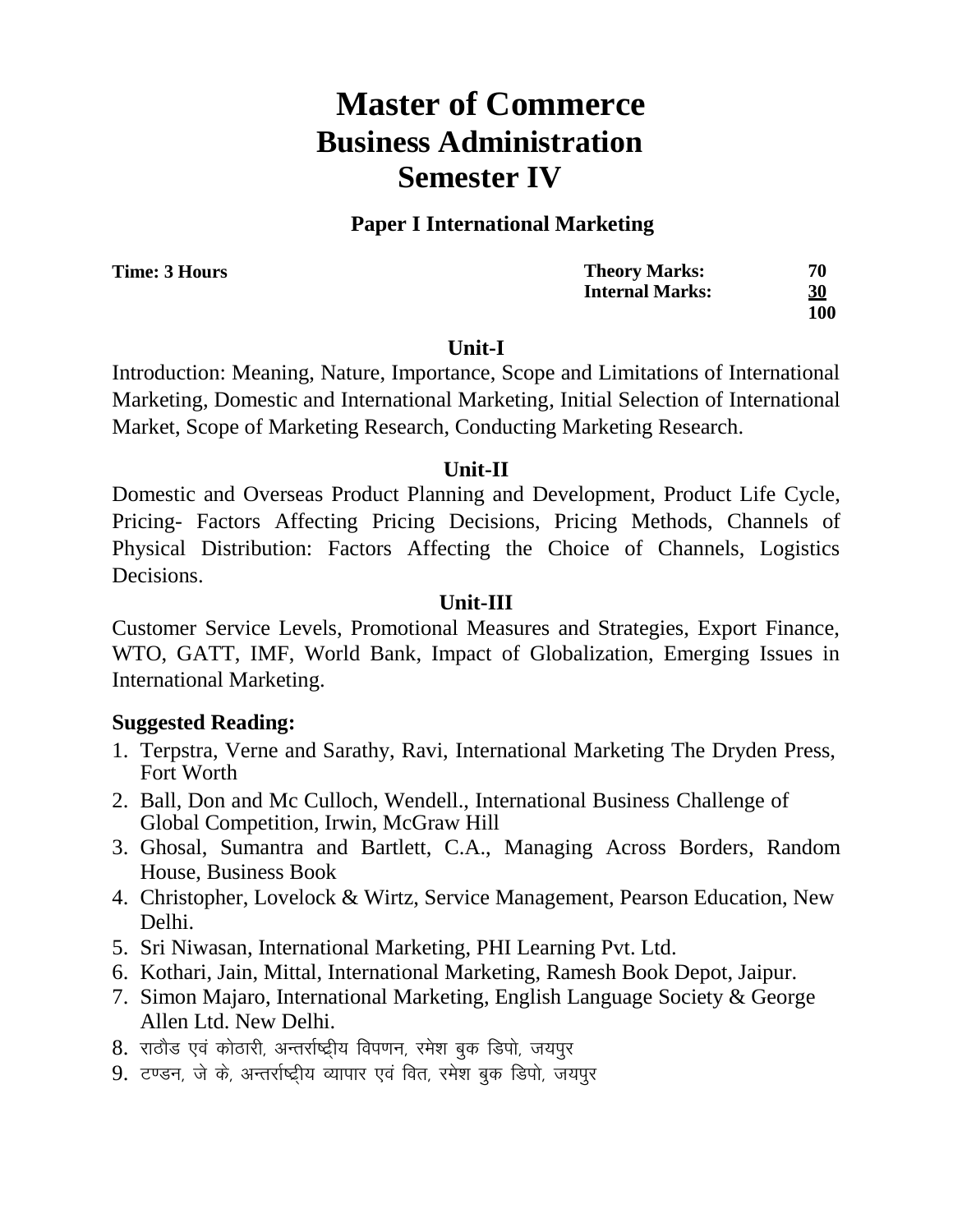## **Paper I International Marketing**

| <b>Theory Marks:</b>   | 70        |
|------------------------|-----------|
| <b>Internal Marks:</b> | <u>30</u> |
|                        | 100       |

#### **Unit-I**

Introduction: Meaning, Nature, Importance, Scope and Limitations of International Marketing, Domestic and International Marketing, Initial Selection of International Market, Scope of Marketing Research, Conducting Marketing Research.

## **Unit-II**

Domestic and Overseas Product Planning and Development, Product Life Cycle, Pricing- Factors Affecting Pricing Decisions, Pricing Methods, Channels of Physical Distribution: Factors Affecting the Choice of Channels, Logistics Decisions.

## **Unit-III**

Customer Service Levels, Promotional Measures and Strategies, Export Finance, WTO, GATT, IMF, World Bank, Impact of Globalization, Emerging Issues in International Marketing.

## **Suggested Reading:**

- 1. Terpstra, Verne and Sarathy, Ravi, International Marketing The Dryden Press, Fort Worth
- 2. Ball, Don and Mc Culloch, Wendell., International Business Challenge of Global Competition, Irwin, McGraw Hill
- 3. Ghosal, Sumantra and Bartlett, C.A., Managing Across Borders, Random House, Business Book
- 4. Christopher, Lovelock & Wirtz, Service Management, Pearson Education, New Delhi.
- 5. Sri Niwasan, International Marketing, PHI Learning Pvt. Ltd.
- 6. Kothari, Jain, Mittal, International Marketing, Ramesh Book Depot, Jaipur.
- 7. Simon Majaro, International Marketing, English Language Society & George Allen Ltd. New Delhi.
- 8. राठौड एवं कोठारी, अन्तर्राष्ट्रीय विपणन, रमेश बुक डिपो, जयपुर
- 9. टण्डन, जे के, अन्तर्राष्ट्रीय व्यापार एवं वित, रमेश बुक डिपो, जयपुर

**Time: 3 Hours**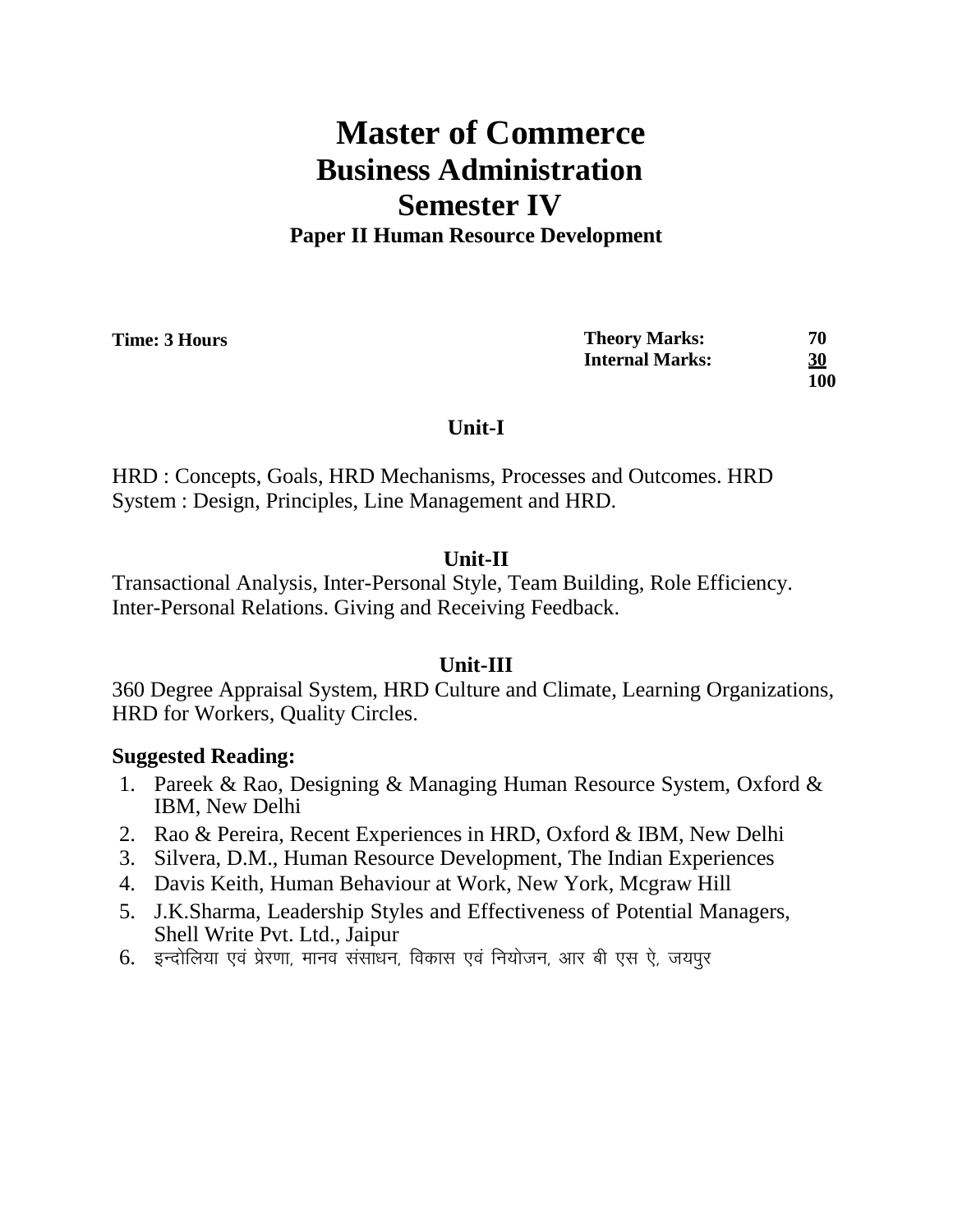**Paper II Human Resource Development**

| Time: 3 Hours | <b>Theory Marks:</b>   | 70         |
|---------------|------------------------|------------|
|               | <b>Internal Marks:</b> | <u>30</u>  |
|               |                        | <b>100</b> |
|               |                        |            |

## **Unit-I**

HRD : Concepts, Goals, HRD Mechanisms, Processes and Outcomes. HRD System : Design, Principles, Line Management and HRD.

## **Unit-II**

Transactional Analysis, Inter-Personal Style, Team Building, Role Efficiency. Inter-Personal Relations. Giving and Receiving Feedback.

## **Unit-III**

360 Degree Appraisal System, HRD Culture and Climate, Learning Organizations, HRD for Workers, Quality Circles.

- 1. Pareek & Rao, Designing & Managing Human Resource System, Oxford & IBM, New Delhi
- 2. Rao & Pereira, Recent Experiences in HRD, Oxford & IBM, New Delhi
- 3. Silvera, D.M., Human Resource Development, The Indian Experiences
- 4. Davis Keith, Human Behaviour at Work, New York, Mcgraw Hill
- 5. J.K.Sharma, Leadership Styles and Effectiveness of Potential Managers, Shell Write Pvt. Ltd., Jaipur
- 6. इन्दोलिया एवं प्रेरणा, मानव संसाधन, विकास एवं नियोजन, आर बी एस ऐ, जयपूर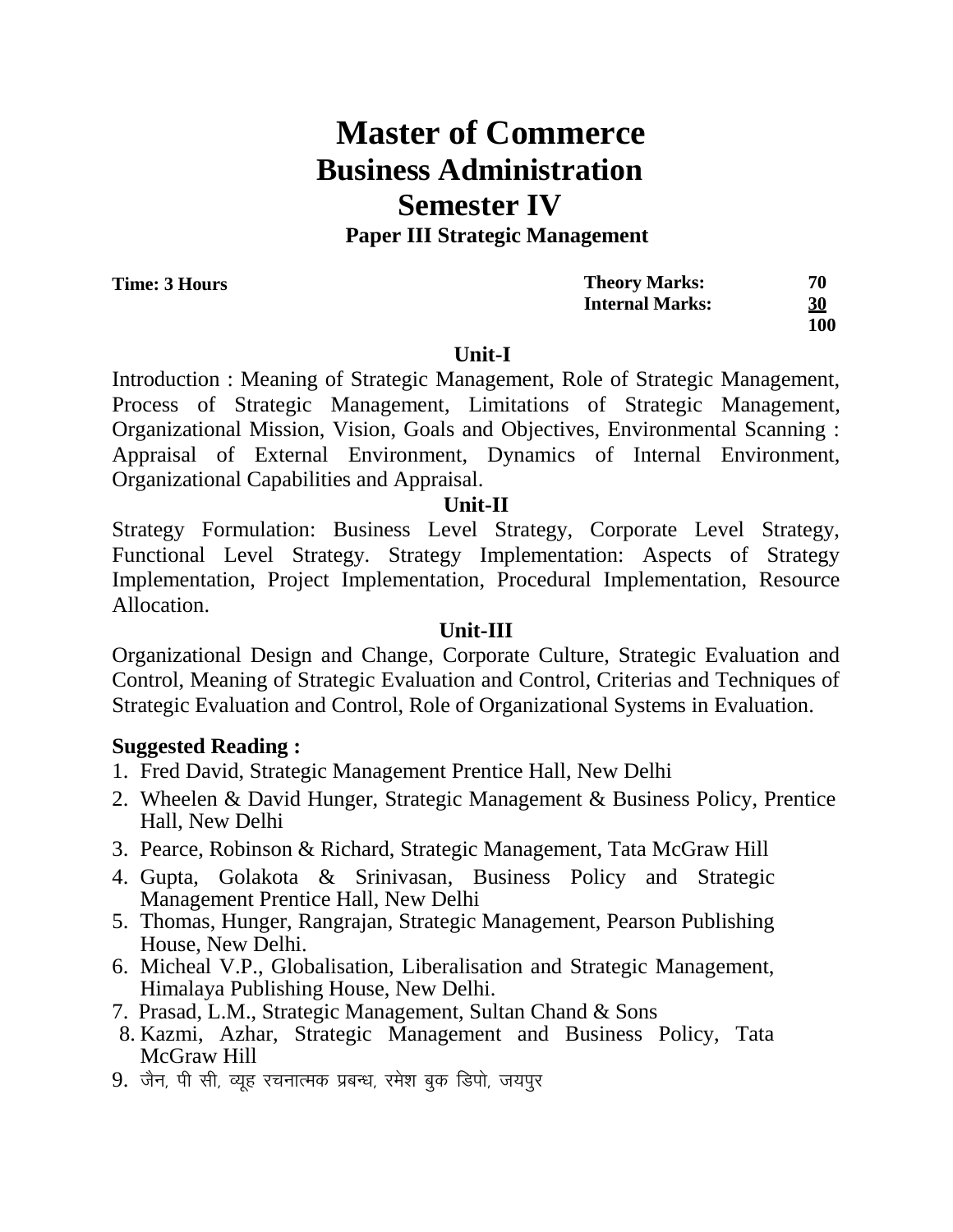**Paper III Strategic Management**

**Time: 3 Hours** 

**Theory Marks: 70 Internal Marks: 30 100**

## **Unit-I**

Introduction : Meaning of Strategic Management, Role of Strategic Management, Process of Strategic Management, Limitations of Strategic Management, Organizational Mission, Vision, Goals and Objectives, Environmental Scanning : Appraisal of External Environment, Dynamics of Internal Environment, Organizational Capabilities and Appraisal.

## **Unit-II**

Strategy Formulation: Business Level Strategy, Corporate Level Strategy, Functional Level Strategy. Strategy Implementation: Aspects of Strategy Implementation, Project Implementation, Procedural Implementation, Resource Allocation.

## **Unit-III**

Organizational Design and Change, Corporate Culture, Strategic Evaluation and Control, Meaning of Strategic Evaluation and Control, Criterias and Techniques of Strategic Evaluation and Control, Role of Organizational Systems in Evaluation.

- 1. Fred David, Strategic Management Prentice Hall, New Delhi
- 2. Wheelen & David Hunger, Strategic Management & Business Policy, Prentice Hall, New Delhi
- 3. Pearce, Robinson & Richard, Strategic Management, Tata McGraw Hill
- 4. Gupta, Golakota & Srinivasan, Business Policy and Strategic Management Prentice Hall, New Delhi
- 5. Thomas, Hunger, Rangrajan, Strategic Management, Pearson Publishing House, New Delhi.
- 6. Micheal V.P., Globalisation, Liberalisation and Strategic Management, Himalaya Publishing House, New Delhi.
- 7. Prasad, L.M., Strategic Management, Sultan Chand & Sons
- 8. Kazmi, Azhar, Strategic Management and Business Policy, Tata McGraw Hill
- 9. जैन, पी सी, व्यह रचनात्मक प्रबन्ध, रमेश बुक डिपो, जयपूर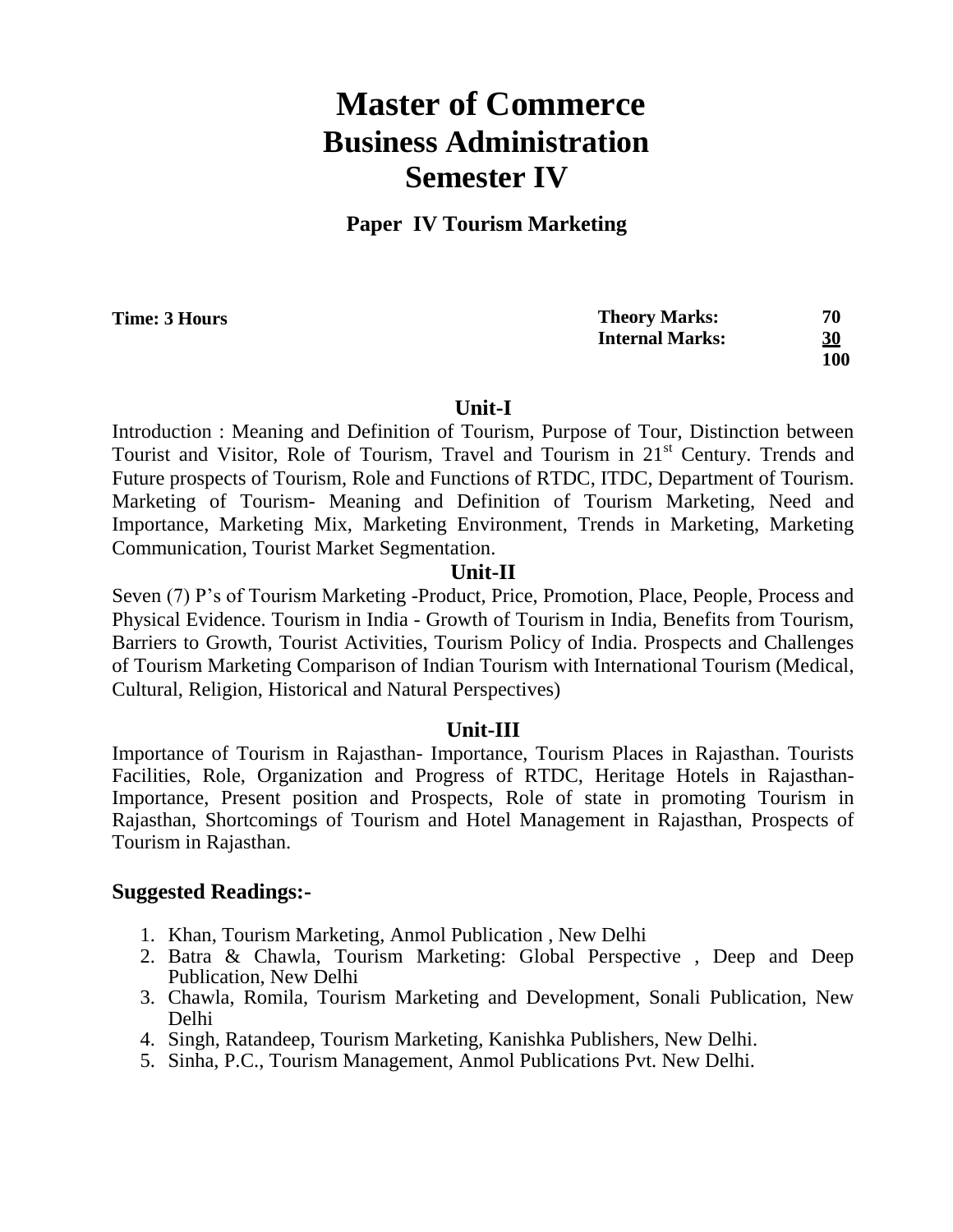## **Paper IV Tourism Marketing**

**Time: 3 Hours** 

**Theory Marks: 70 Internal Marks: 30 100**

#### **Unit-I**

Introduction : Meaning and Definition of Tourism, Purpose of Tour, Distinction between Tourist and Visitor, Role of Tourism, Travel and Tourism in 21<sup>st</sup> Century. Trends and Future prospects of Tourism, Role and Functions of RTDC, ITDC, Department of Tourism. Marketing of Tourism- Meaning and Definition of Tourism Marketing, Need and Importance, Marketing Mix, Marketing Environment, Trends in Marketing, Marketing Communication, Tourist Market Segmentation.

#### **Unit-II**

Seven (7) P's of Tourism Marketing -Product, Price, Promotion, Place, People, Process and Physical Evidence. Tourism in India - Growth of Tourism in India, Benefits from Tourism, Barriers to Growth, Tourist Activities, Tourism Policy of India. Prospects and Challenges of Tourism Marketing Comparison of Indian Tourism with International Tourism (Medical, Cultural, Religion, Historical and Natural Perspectives)

#### **Unit-III**

Importance of Tourism in Rajasthan- Importance, Tourism Places in Rajasthan. Tourists Facilities, Role, Organization and Progress of RTDC, Heritage Hotels in Rajasthan-Importance, Present position and Prospects, Role of state in promoting Tourism in Rajasthan, Shortcomings of Tourism and Hotel Management in Rajasthan, Prospects of Tourism in Rajasthan.

- 1. Khan, Tourism Marketing, Anmol Publication , New Delhi
- 2. Batra & Chawla, Tourism Marketing: Global Perspective , Deep and Deep Publication, New Delhi
- 3. Chawla, Romila, Tourism Marketing and Development, Sonali Publication, New Delhi
- 4. Singh, Ratandeep, Tourism Marketing, Kanishka Publishers, New Delhi.
- 5. Sinha, P.C., Tourism Management, Anmol Publications Pvt. New Delhi.